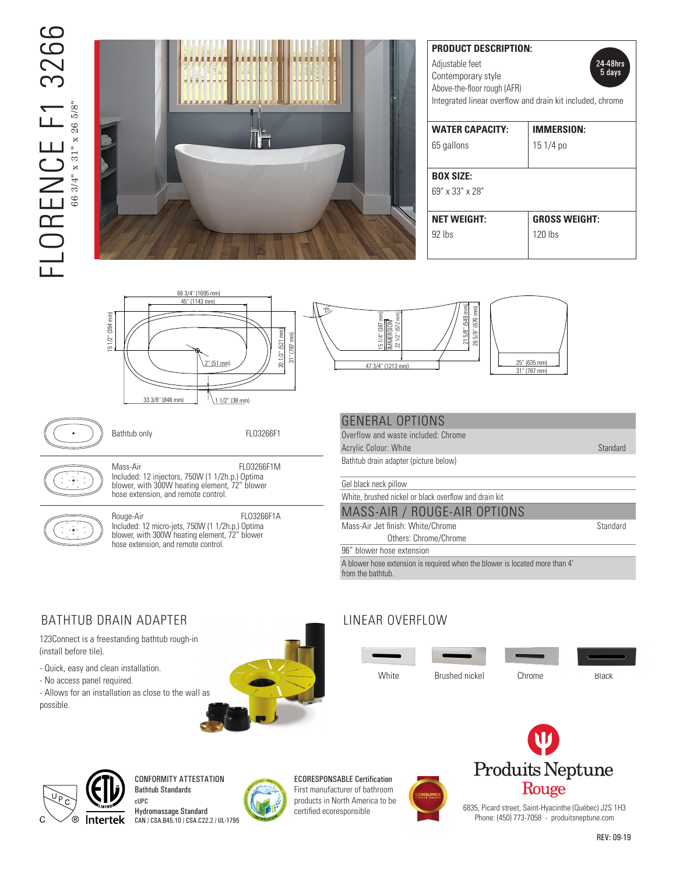# $\overline{C}$ FLORENCE F1 3266 326  $\mathsf{FLOR}_{\mathsf{6834}^{\mathsf{r}}\times\mathsf{31}^{\mathsf{r}}\times\mathsf{26\,5\!8}^{\mathsf{r}}}$ 66 3/4" x 31" x 26 5/8"



| <b>PRODUCT DESCRIPTION:</b><br>24-48hrs<br>Adjustable feet<br>5 days<br>Contemporary style<br>Above-the-floor rough (AFR)<br>Integrated linear overflow and drain kit included, chrome |                      |  |
|----------------------------------------------------------------------------------------------------------------------------------------------------------------------------------------|----------------------|--|
| <b>WATER CAPACITY:</b>                                                                                                                                                                 | <b>IMMERSION:</b>    |  |
| 65 gallons                                                                                                                                                                             | 15 1/4 po            |  |
| <b>BOX SIZE:</b>                                                                                                                                                                       |                      |  |
| 69" x 33" x 28"                                                                                                                                                                        |                      |  |
| <b>NET WEIGHT:</b>                                                                                                                                                                     | <b>GROSS WEIGHT:</b> |  |
| $92$ lhs                                                                                                                                                                               | $120$ lbs            |  |
|                                                                                                                                                                                        |                      |  |





| 25" (635 mm)<br>31" (787 mm) |  |
|------------------------------|--|
|                              |  |

Bathtub only **ELO3266F1** 



hose extension, and remote control. 26 5/8' (676 mm) 1<br>|<br>|<br>| |<br>|<br>|<br>|  $\overline{1}$  $\frac{1}{1}$ Mass-Air FLO3266F1M Included: 12 injectors, 750W (1 1/2h.p.) Optima blower, with 300W heating element, 72" blower



 $\mathbb N$  blower with 300W heating element  $\%$  hose extension, and remote control. Included: 12 micro-jets, 750W (1 1/2h.p.) Optima Rouge-Air FLO3266F1A blower, with 300W heating element, 72" blower

#### GENERAL OPTIONS

produitsneptune/rouge.com 0 5-2 0 1 6 Bathtub drain adapter (picture below) Overflow and waste included: Chrome Acrylic Colour: White Standard Standard

Gel black neck pillow

White, brushed nickel or black overflow and drain kit

| MASS-AIR / ROUGE-AIR OPTIONS |  |
|------------------------------|--|
|                              |  |

Mass-Air Jet finish: White/Chrome Standard Others: Chrome/Chrome

96" blower hose extension

A blower hose extension is required when the blower is located more than 4' from the bathtub.

#### BATHTUB DRAIN ADAPTER

123Connect is a freestanding bathtub rough-in (install before tile).

- Quick, easy and clean installation.
- No access panel required.

- Allows for an installation as close to the wall as possible.



### LINEAR OVERFLOW

White Brushed nickel Chrome Black



REV: 09-19



CONFORMITY ATTESTATION Bathtub Standards

cUPC Hydromassage Standard CAN / CSA.B45.10 / CSA.C22.2 / UL-1795



ECORESPONSABLE Certification First manufacturer of bathroom products in North America to be certified ecoresponsible





6835, Picard street, Saint-Hyacinthe (Québec) J2S 1H3 Phone: (450) 773-7058 - produitsneptune.com